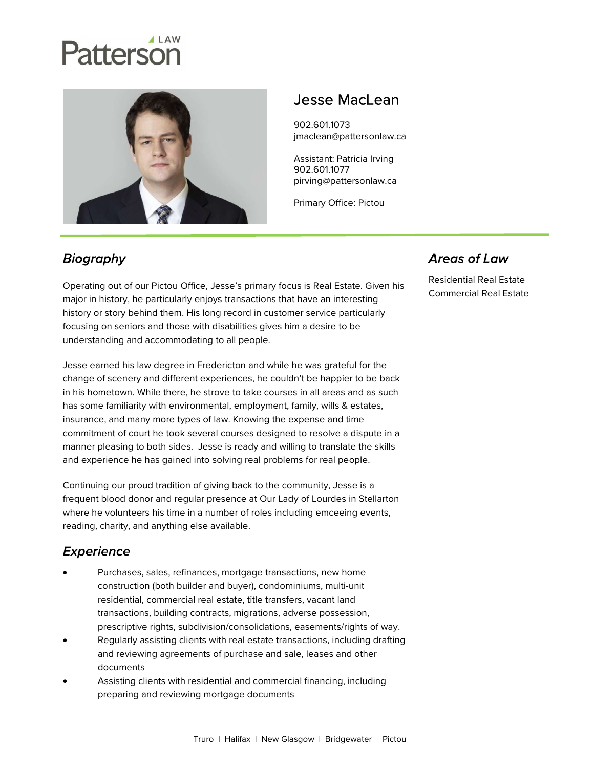# Patterson



# Jesse MacLean

902.601.1073 jmaclean@pattersonlaw.ca

Assistant: Patricia Irving 902.601.1077 pirving@pattersonlaw.ca

Primary Office: Pictou

### **Biography**

Operating out of our Pictou Office, Jesse's primary focus is Real Estate. Given his major in history, he particularly enjoys transactions that have an interesting history or story behind them. His long record in customer service particularly focusing on seniors and those with disabilities gives him a desire to be understanding and accommodating to all people.

Jesse earned his law degree in Fredericton and while he was grateful for the change of scenery and different experiences, he couldn't be happier to be back in his hometown. While there, he strove to take courses in all areas and as such has some familiarity with environmental, employment, family, wills & estates, insurance, and many more types of law. Knowing the expense and time commitment of court he took several courses designed to resolve a dispute in a manner pleasing to both sides. Jesse is ready and willing to translate the skills and experience he has gained into solving real problems for real people.

Continuing our proud tradition of giving back to the community, Jesse is a frequent blood donor and regular presence at Our Lady of Lourdes in Stellarton where he volunteers his time in a number of roles including emceeing events, reading, charity, and anything else available.

#### **Experience**

- Purchases, sales, refinances, mortgage transactions, new home construction (both builder and buyer), condominiums, multi-unit residential, commercial real estate, title transfers, vacant land transactions, building contracts, migrations, adverse possession, prescriptive rights, subdivision/consolidations, easements/rights of way.
- Regularly assisting clients with real estate transactions, including drafting and reviewing agreements of purchase and sale, leases and other documents
- Assisting clients with residential and commercial financing, including preparing and reviewing mortgage documents

#### **Areas of Law**

Residential Real Estate Commercial Real Estate